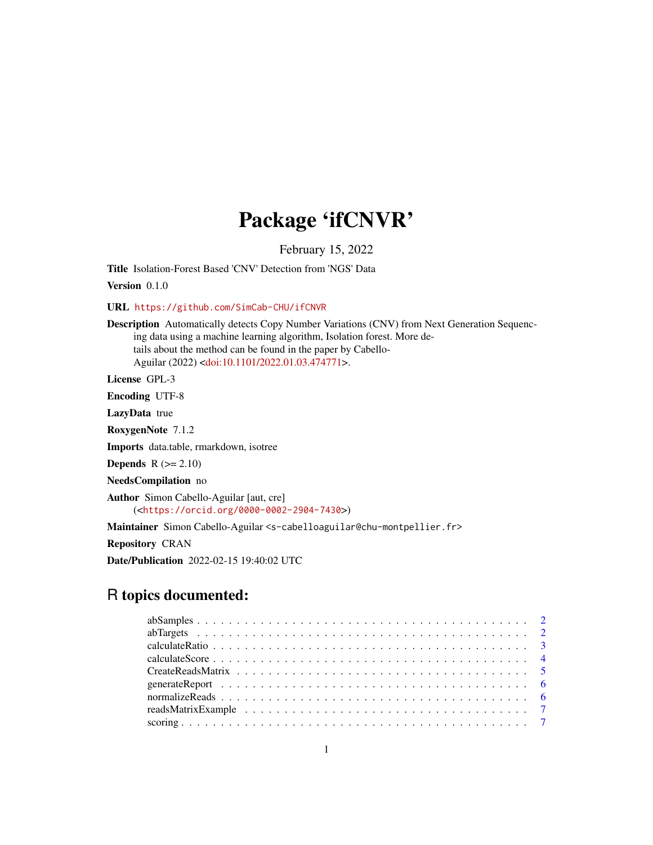# Package 'ifCNVR'

February 15, 2022

Title Isolation-Forest Based 'CNV' Detection from 'NGS' Data

Version 0.1.0

URL <https://github.com/SimCab-CHU/ifCNVR>

Description Automatically detects Copy Number Variations (CNV) from Next Generation Sequencing data using a machine learning algorithm, Isolation forest. More details about the method can be found in the paper by Cabello-Aguilar (2022) [<doi:10.1101/2022.01.03.474771>](https://doi.org/10.1101/2022.01.03.474771).

License GPL-3

Encoding UTF-8

LazyData true

RoxygenNote 7.1.2

Imports data.table, rmarkdown, isotree

**Depends**  $R$  ( $>= 2.10$ )

NeedsCompilation no

Author Simon Cabello-Aguilar [aut, cre] (<<https://orcid.org/0000-0002-2904-7430>>)

Maintainer Simon Cabello-Aguilar <s-cabelloaguilar@chu-montpellier.fr>

Repository CRAN

Date/Publication 2022-02-15 19:40:02 UTC

# R topics documented: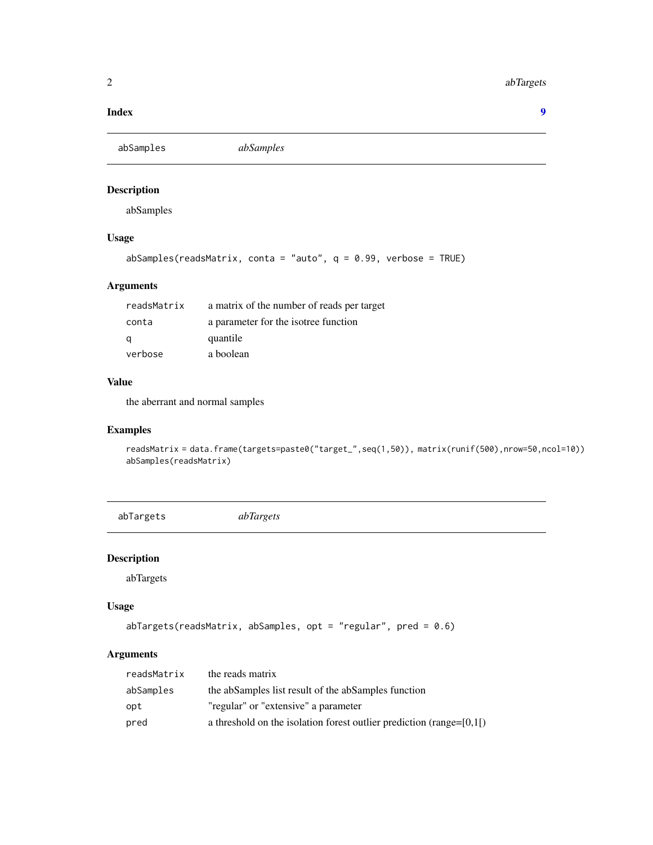#### <span id="page-1-0"></span>2 abTargets and the contract of the contract of the contract of the contract of the contract of the contract of the contract of the contract of the contract of the contract of the contract of the contract of the contract o

#### **Index** [9](#page-8-0)

abSamples *abSamples*

# Description

abSamples

# Usage

```
abSamples(readsMatrix, conta = "auto", q = 0.99, verbose = TRUE)
```
# Arguments

| readsMatrix | a matrix of the number of reads per target |
|-------------|--------------------------------------------|
| conta       | a parameter for the isotree function       |
| q           | quantile                                   |
| verbose     | a boolean                                  |

# Value

the aberrant and normal samples

# Examples

readsMatrix = data.frame(targets=paste0("target\_",seq(1,50)), matrix(runif(500),nrow=50,ncol=10)) abSamples(readsMatrix)

abTargets *abTargets*

# Description

abTargets

#### Usage

```
abTargets(readsMatrix, abSamples, opt = "regular", pred = 0.6)
```
# Arguments

| readsMatrix | the reads matrix                                                         |
|-------------|--------------------------------------------------------------------------|
| abSamples   | the abSamples list result of the abSamples function                      |
| opt         | "regular" or "extensive" a parameter                                     |
| pred        | a threshold on the isolation forest outlier prediction (range= $[0,1]$ ) |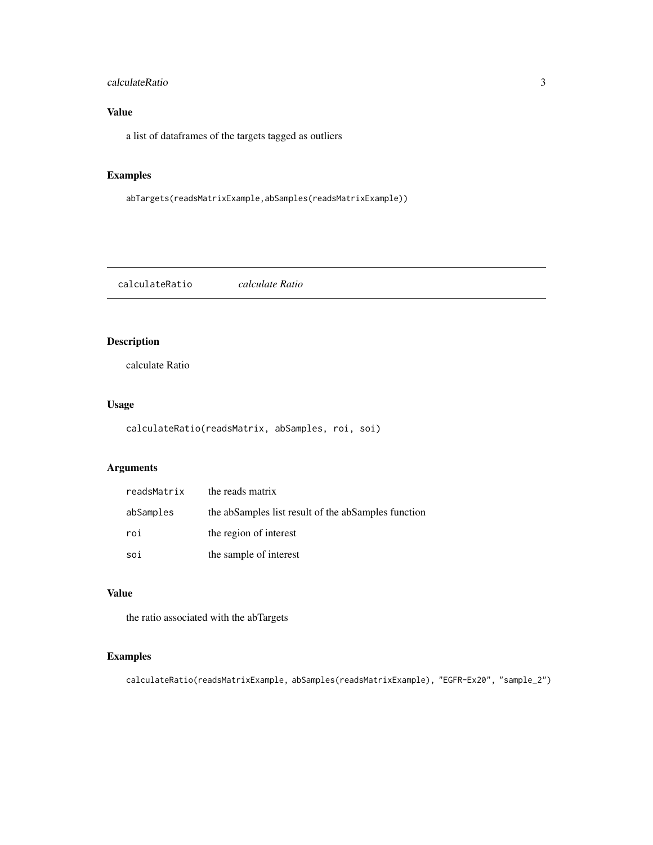# <span id="page-2-0"></span>calculateRatio 3

# Value

a list of dataframes of the targets tagged as outliers

# Examples

```
abTargets(readsMatrixExample,abSamples(readsMatrixExample))
```
calculateRatio *calculate Ratio*

# Description

calculate Ratio

# Usage

```
calculateRatio(readsMatrix, abSamples, roi, soi)
```
# Arguments

| readsMatrix | the reads matrix                                    |
|-------------|-----------------------------------------------------|
| abSamples   | the abSamples list result of the abSamples function |
| roi         | the region of interest                              |
| soi         | the sample of interest                              |

# Value

the ratio associated with the abTargets

# Examples

calculateRatio(readsMatrixExample, abSamples(readsMatrixExample), "EGFR-Ex20", "sample\_2")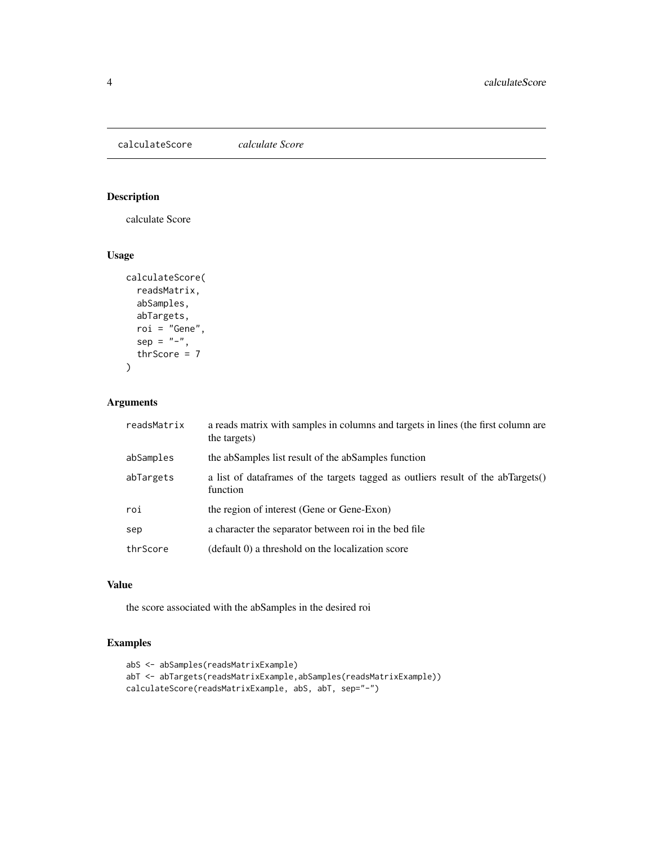<span id="page-3-0"></span>calculateScore *calculate Score*

# Description

calculate Score

# Usage

```
calculateScore(
  readsMatrix,
  abSamples,
  abTargets,
  roi = "Gene",
  sep = "-",
  thrScore = 7)
```
# Arguments

| readsMatrix | a reads matrix with samples in columns and targets in lines (the first column are<br>the targets) |
|-------------|---------------------------------------------------------------------------------------------------|
| abSamples   | the abSamples list result of the abSamples function                                               |
| abTargets   | a list of data frames of the targets tagged as outliers result of the abTargets()<br>function     |
| roi         | the region of interest (Gene or Gene-Exon)                                                        |
| sep         | a character the separator between roi in the bed file                                             |
| thrScore    | (default 0) a threshold on the localization score                                                 |

# Value

the score associated with the abSamples in the desired roi

# Examples

```
abS <- abSamples(readsMatrixExample)
abT <- abTargets(readsMatrixExample,abSamples(readsMatrixExample))
calculateScore(readsMatrixExample, abS, abT, sep="-")
```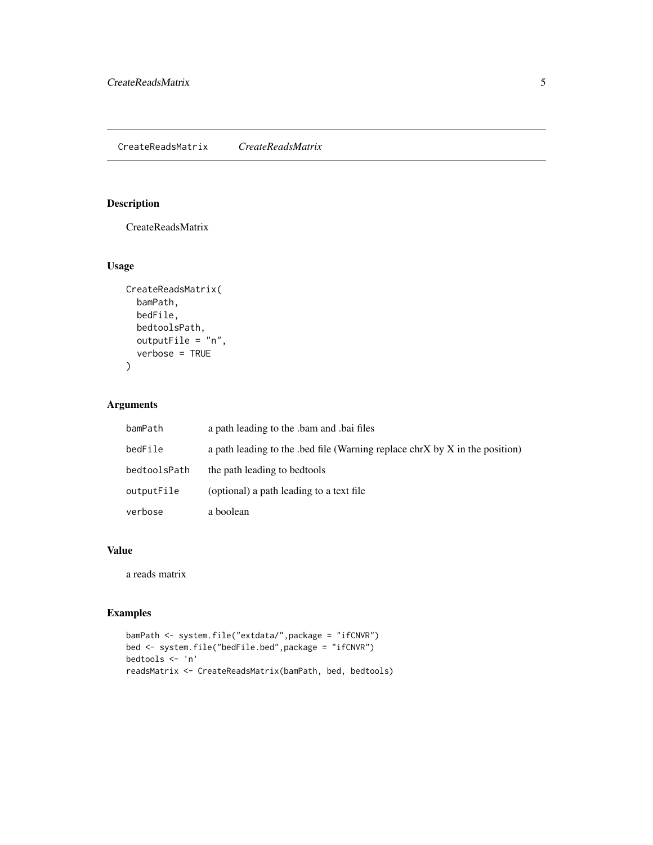# <span id="page-4-0"></span>Description

CreateReadsMatrix

#### Usage

```
CreateReadsMatrix(
 bamPath,
 bedFile,
 bedtoolsPath,
 outputFile = "n",
  verbose = TRUE
)
```
# Arguments

| bamPath      | a path leading to the bam and bai files                                    |
|--------------|----------------------------------------------------------------------------|
| bedFile      | a path leading to the bed file (Warning replace chrX by X in the position) |
| bedtoolsPath | the path leading to bedtools                                               |
| outputFile   | (optional) a path leading to a text file                                   |
| verbose      | a boolean                                                                  |

#### Value

a reads matrix

# Examples

```
bamPath <- system.file("extdata/",package = "ifCNVR")
bed <- system.file("bedFile.bed",package = "ifCNVR")
bedtools <- 'n'
readsMatrix <- CreateReadsMatrix(bamPath, bed, bedtools)
```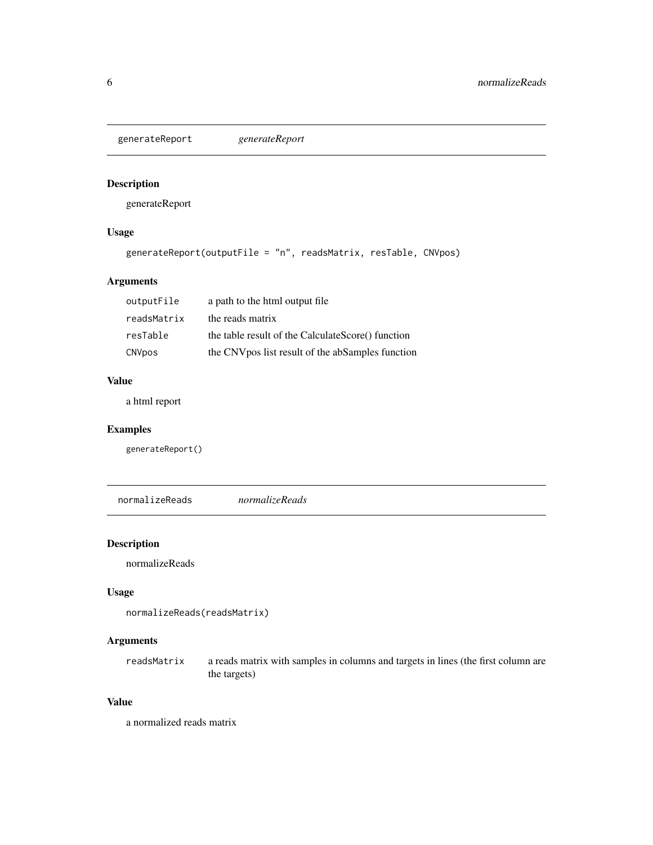<span id="page-5-0"></span>generateReport *generateReport*

# Description

generateReport

# Usage

```
generateReport(outputFile = "n", readsMatrix, resTable, CNVpos)
```
# Arguments

| outputFile  | a path to the html output file                    |
|-------------|---------------------------------------------------|
| readsMatrix | the reads matrix                                  |
| resTable    | the table result of the CalculateScore() function |
| CNVpos      | the CNV pos list result of the abSamples function |

# Value

a html report

# Examples

generateReport()

normalizeReads *normalizeReads*

# Description

normalizeReads

# Usage

```
normalizeReads(readsMatrix)
```
# Arguments

readsMatrix a reads matrix with samples in columns and targets in lines (the first column are the targets)

#### Value

a normalized reads matrix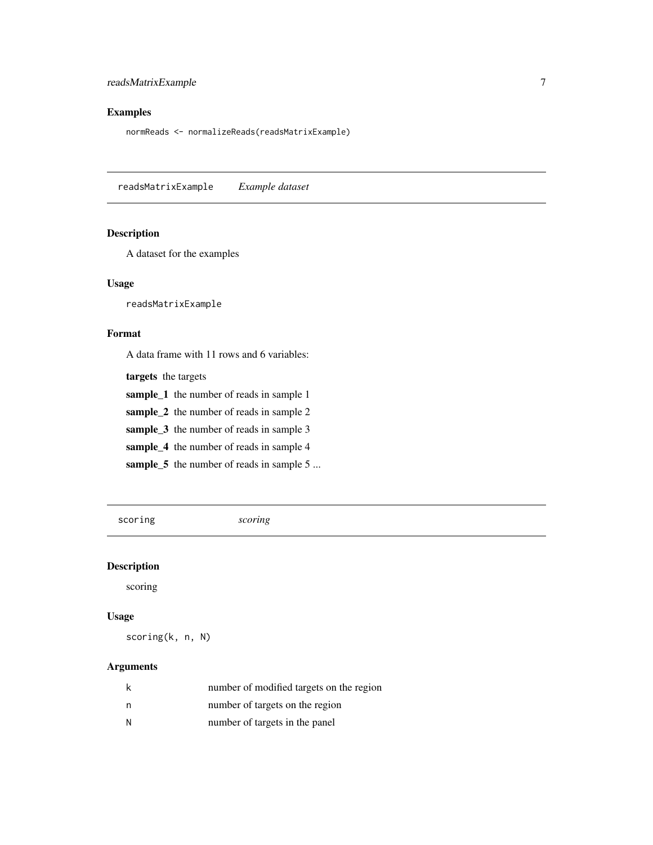# <span id="page-6-0"></span>readsMatrixExample 7

# Examples

normReads <- normalizeReads(readsMatrixExample)

readsMatrixExample *Example dataset*

# Description

A dataset for the examples

#### Usage

readsMatrixExample

# Format

A data frame with 11 rows and 6 variables:

targets the targets

sample\_1 the number of reads in sample 1

sample\_2 the number of reads in sample 2

sample\_3 the number of reads in sample 3

sample\_4 the number of reads in sample 4

sample\_5 the number of reads in sample 5 ...

scoring *scoring*

# Description

scoring

# Usage

scoring(k, n, N)

#### Arguments

| k | number of modified targets on the region |
|---|------------------------------------------|
| n | number of targets on the region          |
| N | number of targets in the panel           |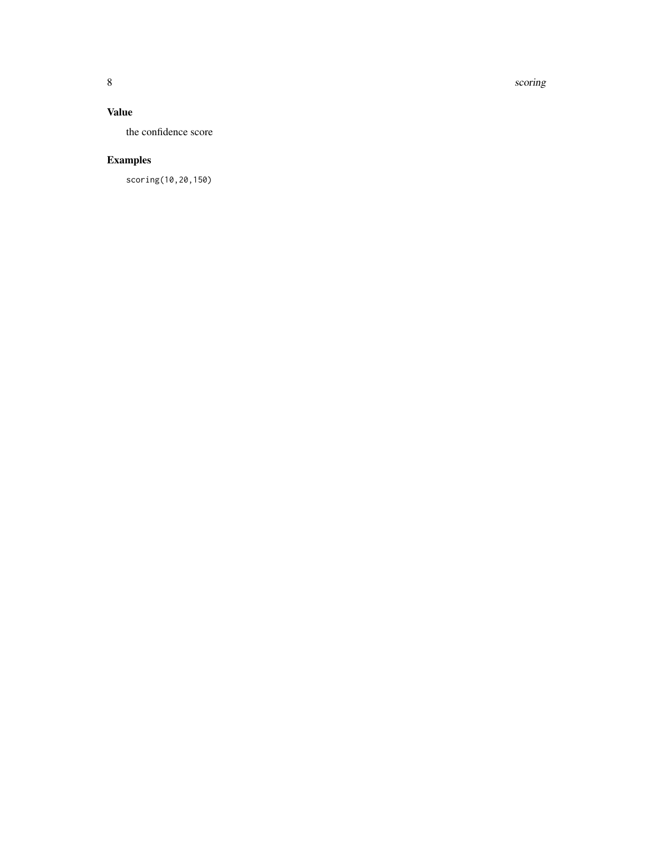8 scoring and the set of the set of the set of the set of the set of the set of the set of the set of the set of the set of the set of the set of the set of the set of the set of the set of the set of the set of the set of

# Value

the confidence score

# Examples

scoring(10,20,150)